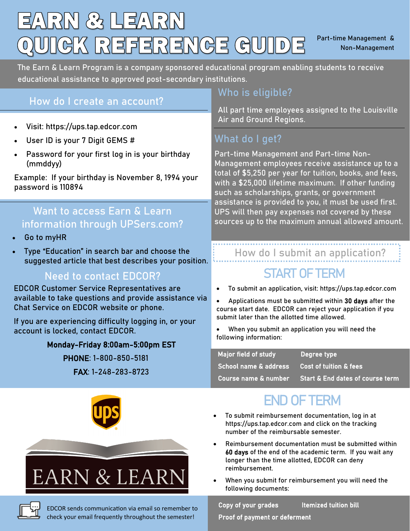## EARN & LEARN UIGK REFERENGE GUIDE

Part-time Management & Non-Management

The Earn & Learn Program is a company sponsored educational program enabling students to receive educational assistance to approved post-secondary institutions.

#### **How do I create an account?**

- Visit: https://ups.tap.edcor.com
- User ID is your 7 Digit GEMS #
- Password for your first log in is your birthday (mmddyy)

Example: If your birthday is November 8, 1994 your password is 110894

#### **Want to access Earn & Learn information through UPSers.com?**

- Go to myHR
- Type "Education" in search bar and choose the suggested article that best describes your position.

#### **Need to contact EDCOR?**

EDCOR Customer Service Representatives are available to take questions and provide assistance via Chat Service on EDCOR website or phone.

If you are experiencing difficulty logging in, or your account is locked, contact EDCOR.

#### Monday-Friday 8:00am-5:00pm EST

PHONE: 1-800-850-5181 FAX: 1-248-283-8723

# EARN & LEARN

EDCOR sends communication via email so remember to check your email frequently throughout the semester!

#### **Who is eligible?**

All part time employees assigned to the Louisville Air and Ground Regions.

#### **What do I get?**

Part-time Management and Part-time Non-Management employees receive assistance up to a total of \$5,250 per year for tuition, books, and fees, with a \$25,000 lifetime maximum. If other funding such as scholarships, grants, or government assistance is provided to you, it must be used first. UPS will then pay expenses not covered by these sources up to the maximum annual allowed amount.

#### **How do I submit an application?**

#### **START OF TERM**

- To submit an application, visit: https://ups.tap.edcor.com
- Applications must be submitted within 30 days after the course start date. EDCOR can reject your application if you submit later than the allotted time allowed.
- When you submit an application you will need the following information:

| Major field of study             | Degree type                                 |
|----------------------------------|---------------------------------------------|
| <b>School name &amp; address</b> | Cost of tuition & fees                      |
| Course name & number             | <b>Start &amp; End dates of course term</b> |

#### **END OF TERM**

- To submit reimbursement documentation, log in at https://ups.tap.edcor.com and click on the tracking number of the reimbursable semester.
- Reimbursement documentation must be submitted within 60 days of the end of the academic term. If you wait any longer than the time allotted, EDCOR can deny reimbursement.
- When you submit for reimbursement you will need the following documents:

Copy of your grades Itemized tuition bill

Proof of payment or deferment